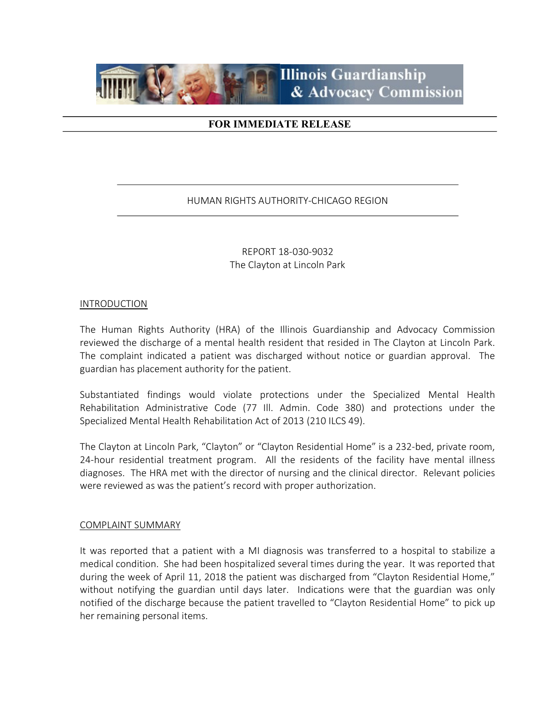

# FOR IMMEDIATE RELEASE

### HUMAN RIGHTS AUTHORITY-CHICAGO REGION

REPORT 18-030-9032 The Clayton at Lincoln Park

#### INTRODUCTION

The Human Rights Authority (HRA) of the Illinois Guardianship and Advocacy Commission reviewed the discharge of a mental health resident that resided in The Clayton at Lincoln Park. The complaint indicated a patient was discharged without notice or guardian approval. The guardian has placement authority for the patient.

Substantiated findings would violate protections under the Specialized Mental Health Rehabilitation Administrative Code (77 Ill. Admin. Code 380) and protections under the Specialized Mental Health Rehabilitation Act of 2013 (210 ILCS 49).

The Clayton at Lincoln Park, "Clayton" or "Clayton Residential Home" is a 232-bed, private room, 24-hour residential treatment program. All the residents of the facility have mental illness diagnoses. The HRA met with the director of nursing and the clinical director. Relevant policies were reviewed as was the patient's record with proper authorization.

#### COMPLAINT SUMMARY

It was reported that a patient with a MI diagnosis was transferred to a hospital to stabilize a medical condition. She had been hospitalized several times during the year. It was reported that during the week of April 11, 2018 the patient was discharged from "Clayton Residential Home," without notifying the guardian until days later. Indications were that the guardian was only notified of the discharge because the patient travelled to "Clayton Residential Home" to pick up her remaining personal items.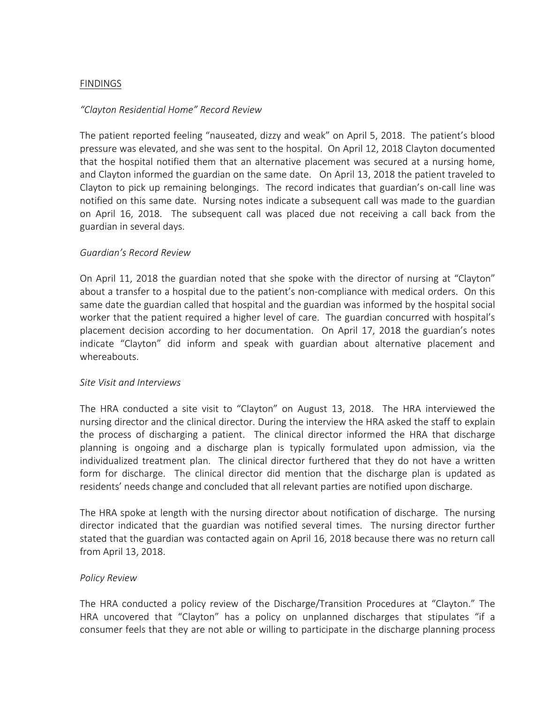### FINDINGS

### "Clayton Residential Home" Record Review

The patient reported feeling "nauseated, dizzy and weak" on April 5, 2018. The patient's blood pressure was elevated, and she was sent to the hospital. On April 12, 2018 Clayton documented that the hospital notified them that an alternative placement was secured at a nursing home, and Clayton informed the guardian on the same date. On April 13, 2018 the patient traveled to Clayton to pick up remaining belongings. The record indicates that guardian's on-call line was notified on this same date. Nursing notes indicate a subsequent call was made to the guardian on April 16, 2018. The subsequent call was placed due not receiving a call back from the guardian in several days.

#### Guardian's Record Review

On April 11, 2018 the guardian noted that she spoke with the director of nursing at "Clayton" about a transfer to a hospital due to the patient's non-compliance with medical orders. On this same date the guardian called that hospital and the guardian was informed by the hospital social worker that the patient required a higher level of care. The guardian concurred with hospital's placement decision according to her documentation. On April 17, 2018 the guardian's notes indicate "Clayton" did inform and speak with guardian about alternative placement and whereabouts.

#### Site Visit and Interviews

The HRA conducted a site visit to "Clayton" on August 13, 2018. The HRA interviewed the nursing director and the clinical director. During the interview the HRA asked the staff to explain the process of discharging a patient. The clinical director informed the HRA that discharge planning is ongoing and a discharge plan is typically formulated upon admission, via the individualized treatment plan. The clinical director furthered that they do not have a written form for discharge. The clinical director did mention that the discharge plan is updated as residents' needs change and concluded that all relevant parties are notified upon discharge.

The HRA spoke at length with the nursing director about notification of discharge. The nursing director indicated that the guardian was notified several times. The nursing director further stated that the guardian was contacted again on April 16, 2018 because there was no return call from April 13, 2018.

#### Policy Review

The HRA conducted a policy review of the Discharge/Transition Procedures at "Clayton." The HRA uncovered that "Clayton" has a policy on unplanned discharges that stipulates "if a consumer feels that they are not able or willing to participate in the discharge planning process